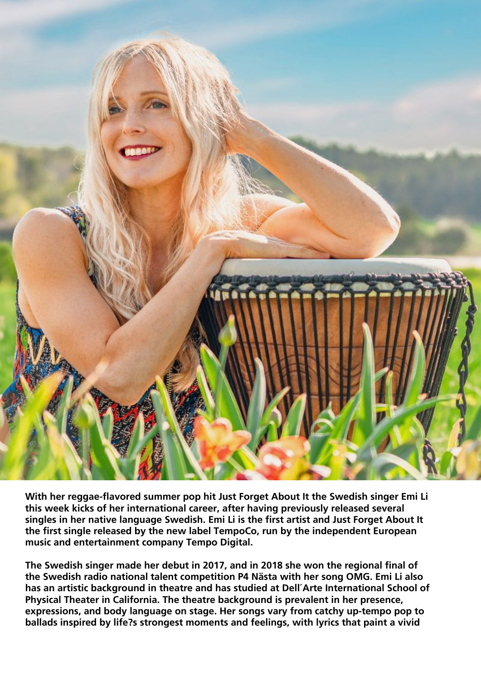

**With her reggae-flavored summer pop hit Just Forget About It the Swedish singer Emi Li this week kicks of her international career, after having previously released several singles in her native language Swedish. Emi Li is the first artist and Just Forget About It the first single released by the new label TempoCo, run by the independent European music and entertainment company Tempo Digital.**

**The Swedish singer made her debut in 2017, and in 2018 she won the regional final of the Swedish radio national talent competition P4 Nästa with her song OMG. Emi Li also has an artistic background in theatre and has studied at Dell´Arte International School of Physical Theater in California. The theatre background is prevalent in her presence, expressions, and body language on stage. Her songs vary from catchy up-tempo pop to ballads inspired by life?s strongest moments and feelings, with lyrics that paint a vivid**